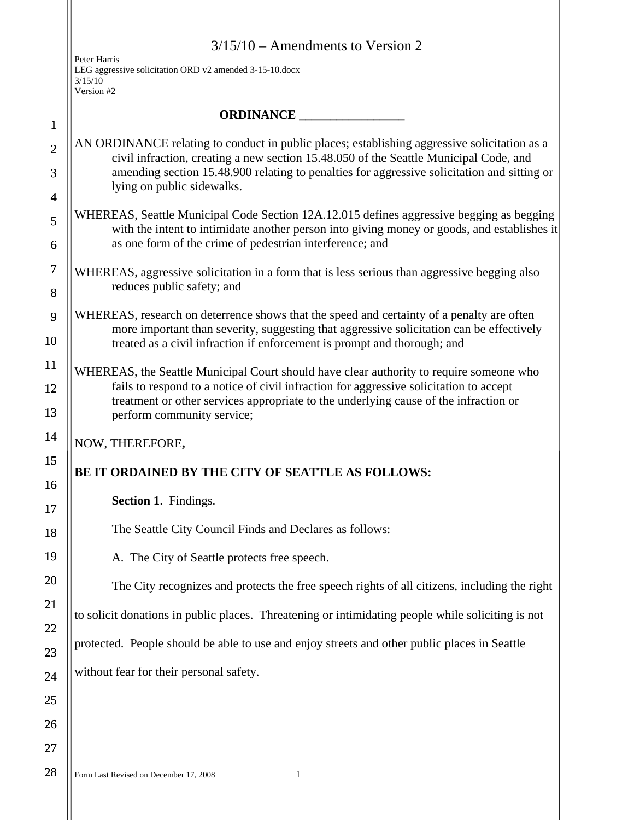|                | $3/15/10$ – Amendments to Version 2                                                                                                                                                                                                                 |  |
|----------------|-----------------------------------------------------------------------------------------------------------------------------------------------------------------------------------------------------------------------------------------------------|--|
|                | Peter Harris<br>LEG aggressive solicitation ORD v2 amended 3-15-10.docx<br>3/15/10<br>Version #2                                                                                                                                                    |  |
| $\mathbf{1}$   |                                                                                                                                                                                                                                                     |  |
| $\overline{2}$ | AN ORDINANCE relating to conduct in public places; establishing aggressive solicitation as a                                                                                                                                                        |  |
| 3              | civil infraction, creating a new section 15.48.050 of the Seattle Municipal Code, and<br>amending section 15.48.900 relating to penalties for aggressive solicitation and sitting or<br>lying on public sidewalks.                                  |  |
| $\overline{4}$ |                                                                                                                                                                                                                                                     |  |
| 5<br>6         | WHEREAS, Seattle Municipal Code Section 12A.12.015 defines aggressive begging as begging<br>with the intent to intimidate another person into giving money or goods, and establishes it<br>as one form of the crime of pedestrian interference; and |  |
| $\overline{7}$ | WHEREAS, aggressive solicitation in a form that is less serious than aggressive begging also                                                                                                                                                        |  |
| 8              | reduces public safety; and                                                                                                                                                                                                                          |  |
| 9              | WHEREAS, research on deterrence shows that the speed and certainty of a penalty are often<br>more important than severity, suggesting that aggressive solicitation can be effectively                                                               |  |
| 10             | treated as a civil infraction if enforcement is prompt and thorough; and                                                                                                                                                                            |  |
| 11             | WHEREAS, the Seattle Municipal Court should have clear authority to require someone who                                                                                                                                                             |  |
| 12<br>13       | fails to respond to a notice of civil infraction for aggressive solicitation to accept<br>treatment or other services appropriate to the underlying cause of the infraction or<br>perform community service;                                        |  |
| 14             | NOW, THEREFORE,                                                                                                                                                                                                                                     |  |
| 15             | BE IT ORDAINED BY THE CITY OF SEATTLE AS FOLLOWS:                                                                                                                                                                                                   |  |
| 16<br>17       | Section 1. Findings.                                                                                                                                                                                                                                |  |
| 18             | The Seattle City Council Finds and Declares as follows:                                                                                                                                                                                             |  |
| 19             | A. The City of Seattle protects free speech.                                                                                                                                                                                                        |  |
| 20             | The City recognizes and protects the free speech rights of all citizens, including the right                                                                                                                                                        |  |
| 21             | to solicit donations in public places. Threatening or intimidating people while soliciting is not                                                                                                                                                   |  |
| 22             | protected. People should be able to use and enjoy streets and other public places in Seattle                                                                                                                                                        |  |
| 23             |                                                                                                                                                                                                                                                     |  |
| 24             | without fear for their personal safety.                                                                                                                                                                                                             |  |
| 25             |                                                                                                                                                                                                                                                     |  |
| 26             |                                                                                                                                                                                                                                                     |  |
| 27             |                                                                                                                                                                                                                                                     |  |
| 28             | Form Last Revised on December 17, 2008<br>1                                                                                                                                                                                                         |  |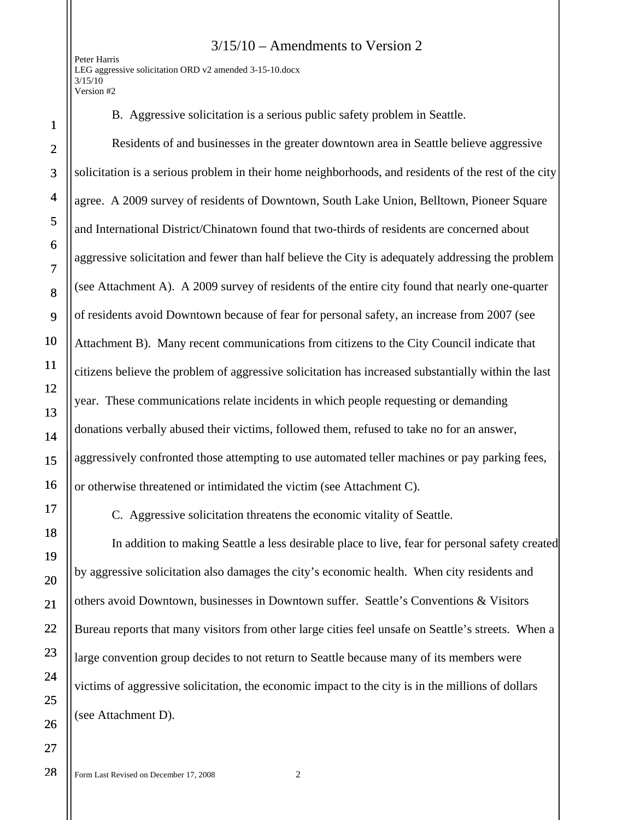## 3/15/10 – Amendments to Version 2

Peter Harris LEG aggressive solicitation ORD v2 amended 3-15-10.docx  $3/15/10$ Version #2

28

B. Aggressive solicitation is a serious public safety problem in Seattle.

Residents of and businesses in the greater downtown area in Seattle believe aggressive solicitation is a serious problem in their home neighborhoods, and residents of the rest of the city agree. A 2009 survey of residents of Downtown, South Lake Union, Belltown, Pioneer Square and International District/Chinatown found that two-thirds of residents are concerned about aggressive solicitation and fewer than half believe the City is adequately addressing the problem (see Attachment A). A 2009 survey of residents of the entire city found that nearly one-quarter of residents avoid Downtown because of fear for personal safety, an increase from 2007 (see Attachment B). Many recent communications from citizens to the City Council indicate that citizens believe the problem of aggressive solicitation has increased substantially within the last year. These communications relate incidents in which people requesting or demanding donations verbally abused their victims, followed them, refused to take no for an answer, aggressively confronted those attempting to use automated teller machines or pay parking fees, or otherwise threatened or intimidated the victim (see Attachment C).

C. Aggressive solicitation threatens the economic vitality of Seattle.

In addition to making Seattle a less desirable place to live, fear for personal safety created by aggressive solicitation also damages the city's economic health. When city residents and others avoid Downtown, businesses in Downtown suffer. Seattle's Conventions & Visitors Bureau reports that many visitors from other large cities feel unsafe on Seattle's streets. When a large convention group decides to not return to Seattle because many of its members were victims of aggressive solicitation, the economic impact to the city is in the millions of dollars (see Attachment D).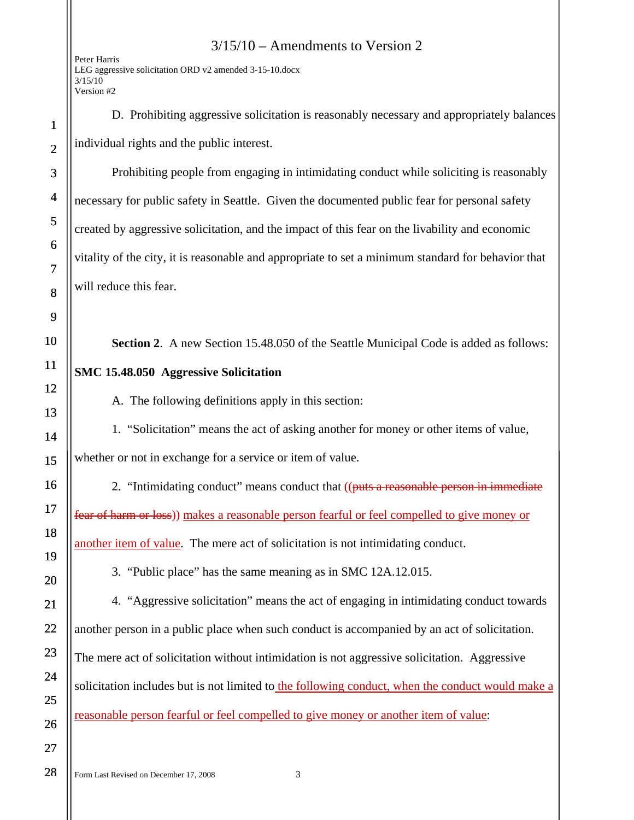3/15/10 – Amendments to Version 2 Peter Harris LEG aggressive solicitation ORD v2 amended 3-15-10.docx  $3/15/10$ Version #2 1 2 3 4 5 6 7 8 9 10 11 12 13 14 15 16 17 18 19 20 21 22 23 24 25 26 27 D. Prohibiting aggressive solicitation is reasonably necessary and appropriately balances individual rights and the public interest. Prohibiting people from engaging in intimidating conduct while soliciting is reasonably necessary for public safety in Seattle. Given the documented public fear for personal safety created by aggressive solicitation, and the impact of this fear on the livability and economic vitality of the city, it is reasonable and appropriate to set a minimum standard for behavior that will reduce this fear. **Section 2.** A new Section 15.48.050 of the Seattle Municipal Code is added as follows: **SMC 15.48.050 Aggressive Solicitation** A. The following definitions apply in this section: 1. "Solicitation" means the act of asking another for money or other items of value, whether or not in exchange for a service or item of value. 2. "Intimidating conduct" means conduct that ((puts a reasonable person in immediate) fear of harm or loss)) makes a reasonable person fearful or feel compelled to give money or another item of value. The mere act of solicitation is not intimidating conduct. 3. "Public place" has the same meaning as in SMC 12A.12.015. 4. "Aggressive solicitation" means the act of engaging in intimidating conduct towards another person in a public place when such conduct is accompanied by an act of solicitation. The mere act of solicitation without intimidation is not aggressive solicitation. Aggressive solicitation includes but is not limited to the following conduct, when the conduct would make a reasonable person fearful or feel compelled to give money or another item of value:

28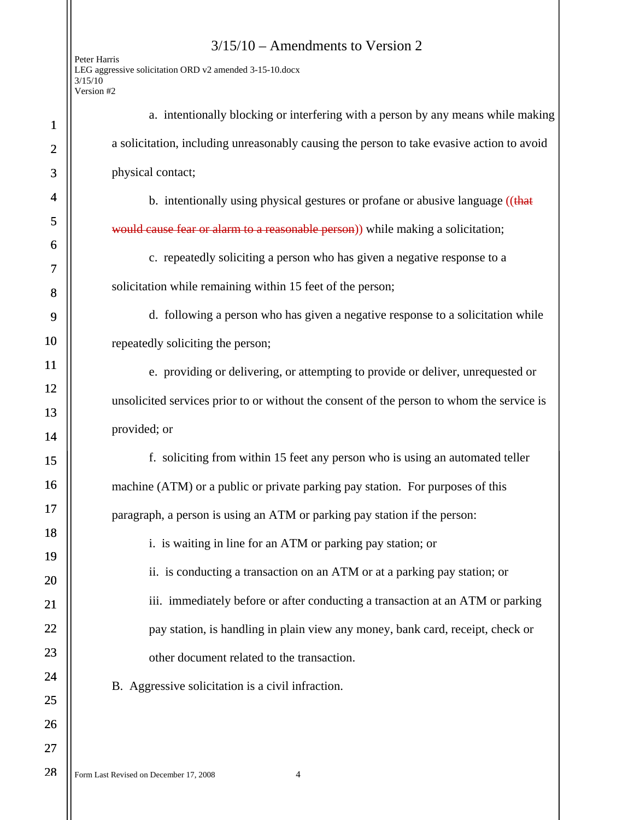|                                                         | $3/15/10$ – Amendments to Version 2 |  |
|---------------------------------------------------------|-------------------------------------|--|
| Peter Harris                                            |                                     |  |
| LEG aggressive solicitation ORD v2 amended 3-15-10.docx |                                     |  |
| 3/15/10                                                 |                                     |  |
| Version #2                                              |                                     |  |
|                                                         |                                     |  |

1

2

3

4

5

6

7

8

9

10

11

12

13

14

15

16

17

18

19

20

21

22

23

24

25

26

27

28

| a. intentionally blocking or interfering with a person by any means while making          |
|-------------------------------------------------------------------------------------------|
| a solicitation, including unreasonably causing the person to take evasive action to avoid |
| physical contact;                                                                         |
| b. intentionally using physical gestures or profane or abusive language ((that            |
| would cause fear or alarm to a reasonable person)) while making a solicitation;           |
| c. repeatedly soliciting a person who has given a negative response to a                  |
| solicitation while remaining within 15 feet of the person;                                |
| d. following a person who has given a negative response to a solicitation while           |
| repeatedly soliciting the person;                                                         |
| e. providing or delivering, or attempting to provide or deliver, unrequested or           |
| unsolicited services prior to or without the consent of the person to whom the service is |
| provided; or                                                                              |
| f. soliciting from within 15 feet any person who is using an automated teller             |
| machine (ATM) or a public or private parking pay station. For purposes of this            |
| paragraph, a person is using an ATM or parking pay station if the person:                 |
| i. is waiting in line for an ATM or parking pay station; or                               |
|                                                                                           |

ii. is conducting a transaction on an ATM or at a parking pay station; or iii. immediately before or after conducting a transaction at an ATM or parking pay station, is handling in plain view any money, bank card, receipt, check or other document related to the transaction.

B. Aggressive solicitation is a civil infraction.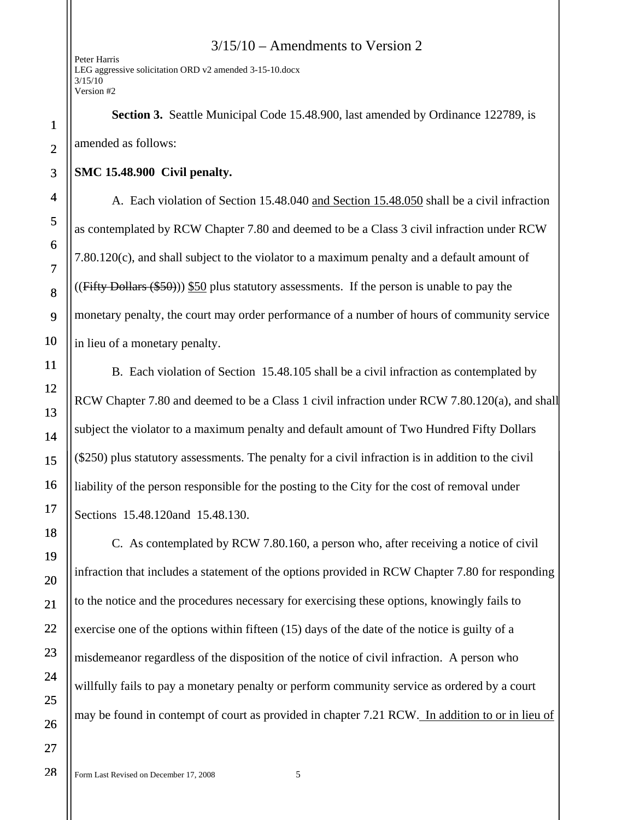3/15/10 – Amendments to Version 2

Peter Harris LEG aggressive solicitation ORD v2 amended 3-15-10.docx  $3/15/10$ Version #2

**Section 3.** Seattle Municipal Code 15.48.900, last amended by Ordinance 122789, is amended as follows:

## **SMC 15.48.900 Civil penalty.**

A. Each violation of Section 15.48.040 and Section 15.48.050 shall be a civil infraction as contemplated by RCW Chapter 7.80 and deemed to be a Class 3 civil infraction under RCW 7.80.120(c), and shall subject to the violator to a maximum penalty and a default amount of  $((Fifty Dollars ($50))$  \$50 plus statutory assessments. If the person is unable to pay the monetary penalty, the court may order performance of a number of hours of community service in lieu of a monetary penalty.

 B. Each violation of Section 15.48.105 shall be a civil infraction as contemplated by RCW Chapter 7.80 and deemed to be a Class 1 civil infraction under RCW 7.80.120(a), and shall subject the violator to a maximum penalty and default amount of Two Hundred Fifty Dollars (\$250) plus statutory assessments. The penalty for a civil infraction is in addition to the civil liability of the person responsible for the posting to the City for the cost of removal under Sections 15.48.120and 15.48.130.

 C. As contemplated by RCW 7.80.160, a person who, after receiving a notice of civil infraction that includes a statement of the options provided in RCW Chapter 7.80 for responding to the notice and the procedures necessary for exercising these options, knowingly fails to exercise one of the options within fifteen (15) days of the date of the notice is guilty of a misdemeanor regardless of the disposition of the notice of civil infraction. A person who willfully fails to pay a monetary penalty or perform community service as ordered by a court may be found in contempt of court as provided in chapter 7.21 RCW. In addition to or in lieu of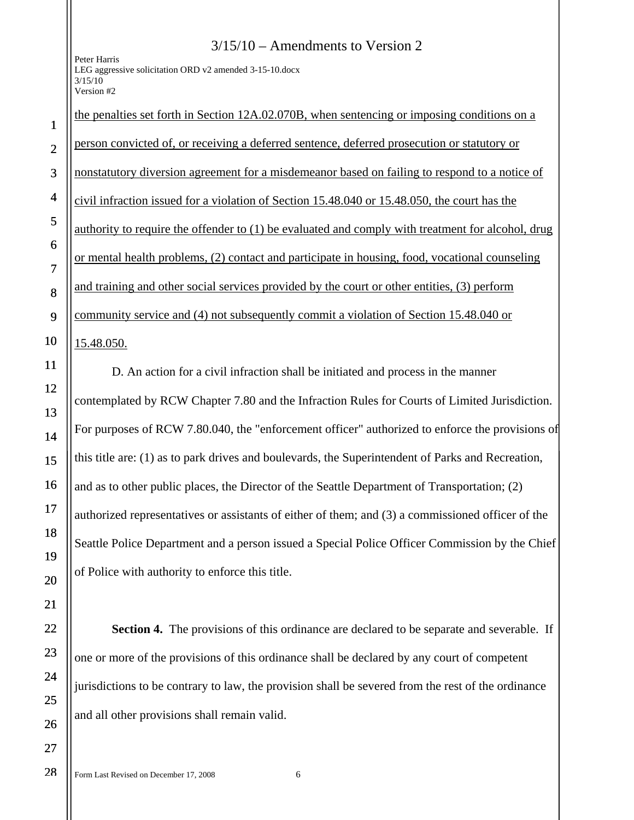Peter Harris LEG aggressive solicitation ORD v2 amended 3-15-10.docx  $3/15/10$ Version #2

## the penalties set forth in Section 12A.02.070B, when sentencing or imposing conditions on a person convicted of, or receiving a deferred sentence, deferred prosecution or statutory or nonstatutory diversion agreement for a misdemeanor based on failing to respond to a notice of civil infraction issued for a violation of Section 15.48.040 or 15.48.050, the court has the authority to require the offender to (1) be evaluated and comply with treatment for alcohol, drug or mental health problems, (2) contact and participate in housing, food, vocational counseling and training and other social services provided by the court or other entities, (3) perform

3/15/10 – Amendments to Version 2

9 community service and (4) not subsequently commit a violation of Section 15.48.040 or

15.48.050.

1

2

3

4

5

6

7

8

10

11

12

 D. An action for a civil infraction shall be initiated and process in the manner contemplated by RCW Chapter 7.80 and the Infraction Rules for Courts of Limited Jurisdiction. For purposes of RCW 7.80.040, the "enforcement officer" authorized to enforce the provisions of this title are: (1) as to park drives and boulevards, the Superintendent of Parks and Recreation, and as to other public places, the Director of the Seattle Department of Transportation; (2) authorized representatives or assistants of either of them; and (3) a commissioned officer of the Seattle Police Department and a person issued a Special Police Officer Commission by the Chief of Police with authority to enforce this title.

**Section 4.** The provisions of this ordinance are declared to be separate and severable. If one or more of the provisions of this ordinance shall be declared by any court of competent jurisdictions to be contrary to law, the provision shall be severed from the rest of the ordinance and all other provisions shall remain valid.